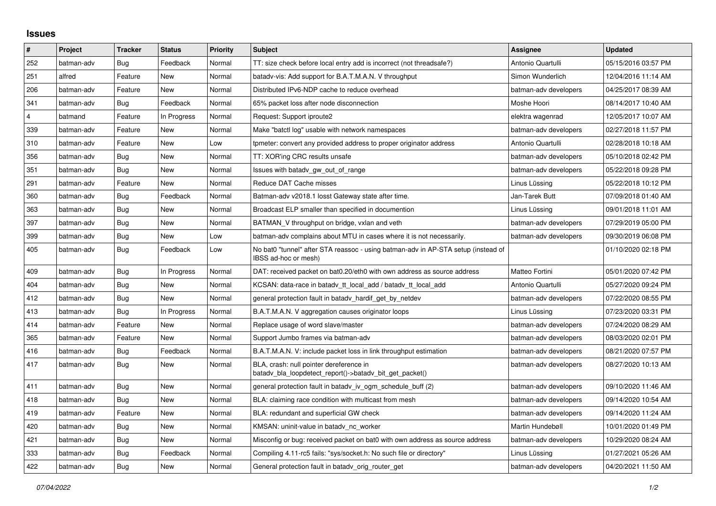## **Issues**

| $\vert$ #      | Project    | <b>Tracker</b> | <b>Status</b> | Priority | <b>Subject</b>                                                                                            | Assignee              | <b>Updated</b>      |
|----------------|------------|----------------|---------------|----------|-----------------------------------------------------------------------------------------------------------|-----------------------|---------------------|
| 252            | batman-adv | Bug            | Feedback      | Normal   | TT: size check before local entry add is incorrect (not threadsafe?)                                      | Antonio Quartulli     | 05/15/2016 03:57 PM |
| 251            | alfred     | Feature        | New           | Normal   | batady-vis: Add support for B.A.T.M.A.N. V throughput                                                     | Simon Wunderlich      | 12/04/2016 11:14 AM |
| 206            | batman-adv | Feature        | New           | Normal   | Distributed IPv6-NDP cache to reduce overhead                                                             | batman-adv developers | 04/25/2017 08:39 AM |
| 341            | batman-adv | Bug            | Feedback      | Normal   | 65% packet loss after node disconnection                                                                  | Moshe Hoori           | 08/14/2017 10:40 AM |
| $\overline{4}$ | batmand    | Feature        | In Progress   | Normal   | Request: Support iproute2                                                                                 | elektra wagenrad      | 12/05/2017 10:07 AM |
| 339            | batman-adv | Feature        | New           | Normal   | Make "batctl log" usable with network namespaces                                                          | batman-adv developers | 02/27/2018 11:57 PM |
| 310            | batman-adv | Feature        | New           | Low      | tpmeter: convert any provided address to proper originator address                                        | Antonio Quartulli     | 02/28/2018 10:18 AM |
| 356            | batman-adv | Bug            | <b>New</b>    | Normal   | TT: XOR'ing CRC results unsafe                                                                            | batman-adv developers | 05/10/2018 02:42 PM |
| 351            | batman-adv | Bug            | New           | Normal   | Issues with batady gw out of range                                                                        | batman-adv developers | 05/22/2018 09:28 PM |
| 291            | batman-adv | Feature        | <b>New</b>    | Normal   | Reduce DAT Cache misses                                                                                   | Linus Lüssing         | 05/22/2018 10:12 PM |
| 360            | batman-adv | Bug            | Feedback      | Normal   | Batman-adv v2018.1 losst Gateway state after time.                                                        | Jan-Tarek Butt        | 07/09/2018 01:40 AM |
| 363            | batman-adv | Bug            | New           | Normal   | Broadcast ELP smaller than specified in documention                                                       | Linus Lüssing         | 09/01/2018 11:01 AM |
| 397            | batman-adv | Bug            | New           | Normal   | BATMAN V throughput on bridge, vxlan and veth                                                             | batman-adv developers | 07/29/2019 05:00 PM |
| 399            | batman-adv | Bug            | <b>New</b>    | Low      | batman-adv complains about MTU in cases where it is not necessarily.                                      | batman-adv developers | 09/30/2019 06:08 PM |
| 405            | batman-adv | Bug            | Feedback      | Low      | No bat0 "tunnel" after STA reassoc - using batman-adv in AP-STA setup (instead of<br>IBSS ad-hoc or mesh) |                       | 01/10/2020 02:18 PM |
| 409            | batman-adv | <b>Bug</b>     | In Progress   | Normal   | DAT: received packet on bat0.20/eth0 with own address as source address                                   | Matteo Fortini        | 05/01/2020 07:42 PM |
| 404            | batman-adv | <b>Bug</b>     | New           | Normal   | KCSAN: data-race in batady tt local add / batady tt local add                                             | Antonio Quartulli     | 05/27/2020 09:24 PM |
| 412            | batman-adv | <b>Bug</b>     | <b>New</b>    | Normal   | general protection fault in batadv_hardif_get_by_netdev                                                   | batman-adv developers | 07/22/2020 08:55 PM |
| 413            | batman-adv | <b>Bug</b>     | In Progress   | Normal   | B.A.T.M.A.N. V aggregation causes originator loops                                                        | Linus Lüssing         | 07/23/2020 03:31 PM |
| 414            | batman-adv | Feature        | New           | Normal   | Replace usage of word slave/master                                                                        | batman-adv developers | 07/24/2020 08:29 AM |
| 365            | batman-adv | Feature        | <b>New</b>    | Normal   | Support Jumbo frames via batman-adv                                                                       | batman-adv developers | 08/03/2020 02:01 PM |
| 416            | batman-adv | Bug            | Feedback      | Normal   | B.A.T.M.A.N. V: include packet loss in link throughput estimation                                         | batman-adv developers | 08/21/2020 07:57 PM |
| 417            | batman-adv | Bug            | New           | Normal   | BLA, crash: null pointer dereference in<br>batady bla loopdetect report()->batady bit get packet()        | batman-adv developers | 08/27/2020 10:13 AM |
| 411            | batman-adv | Bug            | New           | Normal   | general protection fault in batady iv ogm schedule buff (2)                                               | batman-adv developers | 09/10/2020 11:46 AM |
| 418            | batman-adv | Bug            | New           | Normal   | BLA: claiming race condition with multicast from mesh                                                     | batman-adv developers | 09/14/2020 10:54 AM |
| 419            | batman-adv | Feature        | New           | Normal   | BLA: redundant and superficial GW check                                                                   | batman-adv developers | 09/14/2020 11:24 AM |
| 420            | batman-adv | Bug            | New           | Normal   | KMSAN: uninit-value in batady nc worker                                                                   | Martin Hundebøll      | 10/01/2020 01:49 PM |
| 421            | batman-adv | <b>Bug</b>     | <b>New</b>    | Normal   | Misconfig or bug: received packet on bat0 with own address as source address                              | batman-adv developers | 10/29/2020 08:24 AM |
| 333            | batman-adv | <b>Bug</b>     | Feedback      | Normal   | Compiling 4.11-rc5 fails: "sys/socket.h: No such file or directory"                                       | Linus Lüssing         | 01/27/2021 05:26 AM |
| 422            | batman-adv | Bug            | New           | Normal   | General protection fault in batady orig router get                                                        | batman-adv developers | 04/20/2021 11:50 AM |